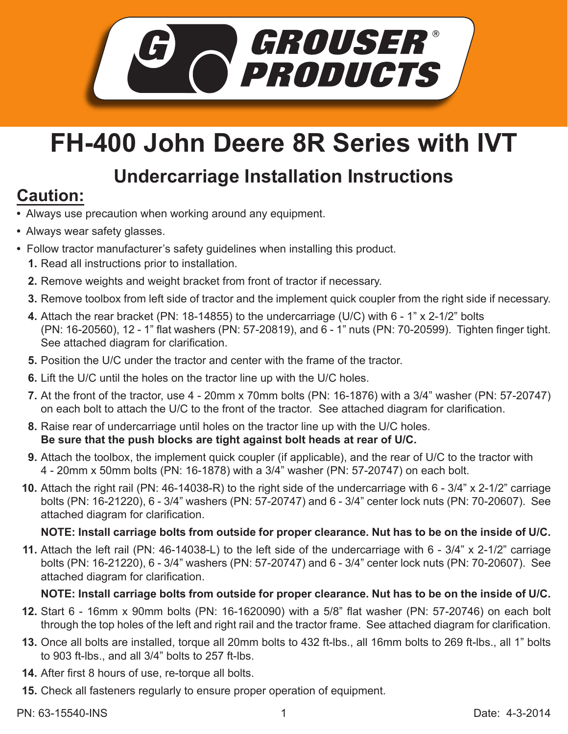

# **FH-400 John Deere 8R Series with IVT**

## **Undercarriage Installation Instructions**

## **Caution:**

- Always use precaution when working around any equipment.
- Always wear safety glasses.
- Follow tractor manufacturer's safety guidelines when installing this product.
	- **1.** Read all instructions prior to installation.
	- **2.** Remove weights and weight bracket from front of tractor if necessary.
	- **3.** Remove toolbox from left side of tractor and the implement quick coupler from the right side if necessary.
	- Attach the rear bracket (PN: 18-14855) to the undercarriage (U/C) with 6 1" x 2-1/2" bolts **4.** (PN: 16-20560), 12 - 1" flat washers (PN: 57-20819), and 6 - 1" nuts (PN: 70-20599). Tighten finger tight. See attached diagram for clarification.
	- **5.** Position the U/C under the tractor and center with the frame of the tractor.
	- **6.** Lift the U/C until the holes on the tractor line up with the U/C holes.
	- At the front of the tractor, use 4 20mm x 70mm bolts (PN: 16-1876) with a 3/4" washer (PN: 57-20747) **7.** on each bolt to attach the U/C to the front of the tractor. See attached diagram for clarification.
	- Raise rear of undercarriage until holes on the tractor line up with the U/C holes. **8. Be sure that the push blocks are tight against bolt heads at rear of U/C.**
	- **9.** Attach the toolbox, the implement quick coupler (if applicable), and the rear of U/C to the tractor with 4 - 20mm x 50mm bolts (PN: 16-1878) with a 3/4" washer (PN: 57-20747) on each bolt.
	- Attach the right rail (PN: 46-14038-R) to the right side of the undercarriage with 6 3/4" x 2-1/2" carriage **10.** bolts (PN: 16-21220), 6 - 3/4" washers (PN: 57-20747) and 6 - 3/4" center lock nuts (PN: 70-20607). See attached diagram for clarification.

### **NOTE: Install carriage bolts from outside for proper clearance. Nut has to be on the inside of U/C.**

Attach the left rail (PN: 46-14038-L) to the left side of the undercarriage with 6 - 3/4" x 2-1/2" carriage **11.** bolts (PN: 16-21220), 6 - 3/4" washers (PN: 57-20747) and 6 - 3/4" center lock nuts (PN: 70-20607). See attached diagram for clarification.

#### **NOTE: Install carriage bolts from outside for proper clearance. Nut has to be on the inside of U/C.**

- **12.** Start 6 16mm x 90mm bolts (PN: 16-1620090) with a 5/8" flat washer (PN: 57-20746) on each bolt through the top holes of the left and right rail and the tractor frame. See attached diagram for clarification.
- **13.** Once all bolts are installed, torque all 20mm bolts to 432 ft-lbs., all 16mm bolts to 269 ft-lbs., all 1" bolts to 903 ft-lbs., and all 3/4" bolts to 257 ft-lbs.
- **14.** After first 8 hours of use, re-torque all bolts.
- **15.** Check all fasteners regularly to ensure proper operation of equipment.